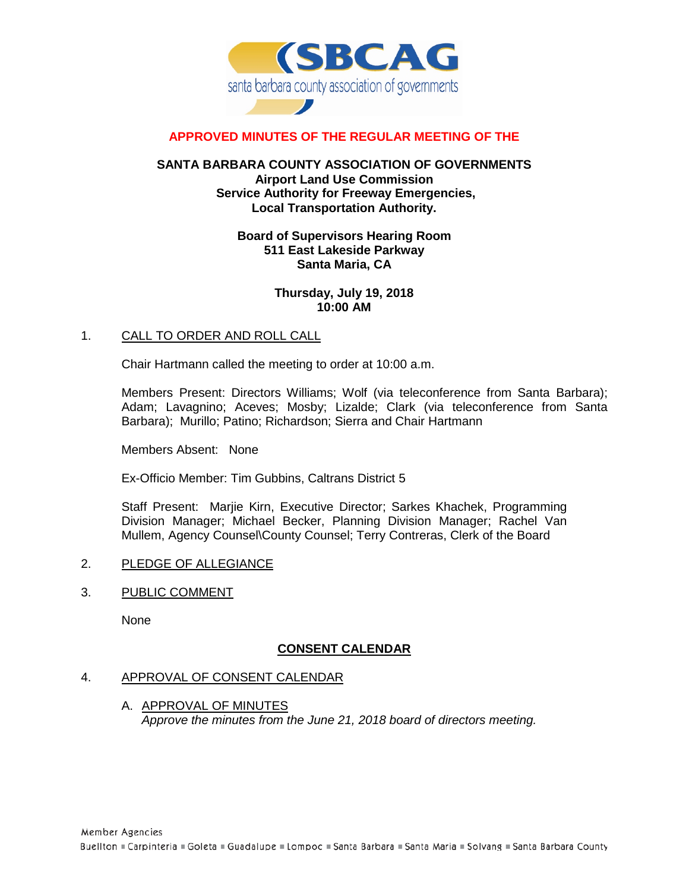

# **APPROVED MINUTES OF THE REGULAR MEETING OF THE**

### **SANTA BARBARA COUNTY ASSOCIATION OF GOVERNMENTS Airport Land Use Commission Service Authority for Freeway Emergencies, Local Transportation Authority.**

## **Board of Supervisors Hearing Room 511 East Lakeside Parkway Santa Maria, CA**

## **Thursday, July 19, 2018 10:00 AM**

#### 1. CALL TO ORDER AND ROLL CALL

Chair Hartmann called the meeting to order at 10:00 a.m.

Members Present: Directors Williams; Wolf (via teleconference from Santa Barbara); Adam; Lavagnino; Aceves; Mosby; Lizalde; Clark (via teleconference from Santa Barbara); Murillo; Patino; Richardson; Sierra and Chair Hartmann

Members Absent: None

Ex-Officio Member: Tim Gubbins, Caltrans District 5

Staff Present: Marjie Kirn, Executive Director; Sarkes Khachek, Programming Division Manager; Michael Becker, Planning Division Manager; Rachel Van Mullem, Agency Counsel\County Counsel; Terry Contreras, Clerk of the Board

- 2. PLEDGE OF ALLEGIANCE
- 3. PUBLIC COMMENT

None

# **CONSENT CALENDAR**

#### 4. APPROVAL OF CONSENT CALENDAR

A. APPROVAL OF MINUTES *Approve the minutes from the June 21, 2018 board of directors meeting.*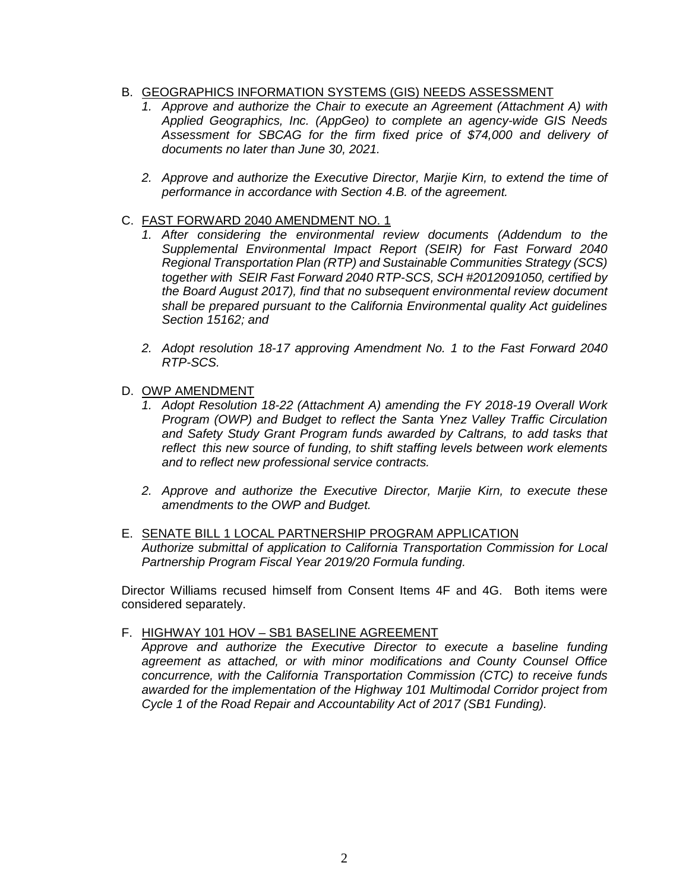# B. GEOGRAPHICS INFORMATION SYSTEMS (GIS) NEEDS ASSESSMENT

- *1. Approve and authorize the Chair to execute an Agreement (Attachment A) with Applied Geographics, Inc. (AppGeo) to complete an agency-wide GIS Needs Assessment for SBCAG for the firm fixed price of \$74,000 and delivery of documents no later than June 30, 2021.*
- *2. Approve and authorize the Executive Director, Marjie Kirn, to extend the time of performance in accordance with Section 4.B. of the agreement.*

### C. FAST FORWARD 2040 AMENDMENT NO. 1

- *1. After considering the environmental review documents (Addendum to the Supplemental Environmental Impact Report (SEIR) for Fast Forward 2040 Regional Transportation Plan (RTP) and Sustainable Communities Strategy (SCS) together with SEIR Fast Forward 2040 RTP-SCS, SCH #2012091050, certified by the Board August 2017), find that no subsequent environmental review document shall be prepared pursuant to the California Environmental quality Act guidelines Section 15162; and*
- *2. Adopt resolution 18-17 approving Amendment No. 1 to the Fast Forward 2040 RTP-SCS.*
- D. OWP AMENDMENT
	- *1. Adopt Resolution 18-22 (Attachment A) amending the FY 2018-19 Overall Work Program (OWP) and Budget to reflect the Santa Ynez Valley Traffic Circulation and Safety Study Grant Program funds awarded by Caltrans, to add tasks that reflect this new source of funding, to shift staffing levels between work elements and to reflect new professional service contracts.*
	- *2. Approve and authorize the Executive Director, Marjie Kirn, to execute these amendments to the OWP and Budget.*
- E. SENATE BILL 1 LOCAL PARTNERSHIP PROGRAM APPLICATION *Authorize submittal of application to California Transportation Commission for Local Partnership Program Fiscal Year 2019/20 Formula funding.*

Director Williams recused himself from Consent Items 4F and 4G. Both items were considered separately.

F. HIGHWAY 101 HOV – SB1 BASELINE AGREEMENT

*Approve and authorize the Executive Director to execute a baseline funding agreement as attached, or with minor modifications and County Counsel Office concurrence, with the California Transportation Commission (CTC) to receive funds awarded for the implementation of the Highway 101 Multimodal Corridor project from Cycle 1 of the Road Repair and Accountability Act of 2017 (SB1 Funding).*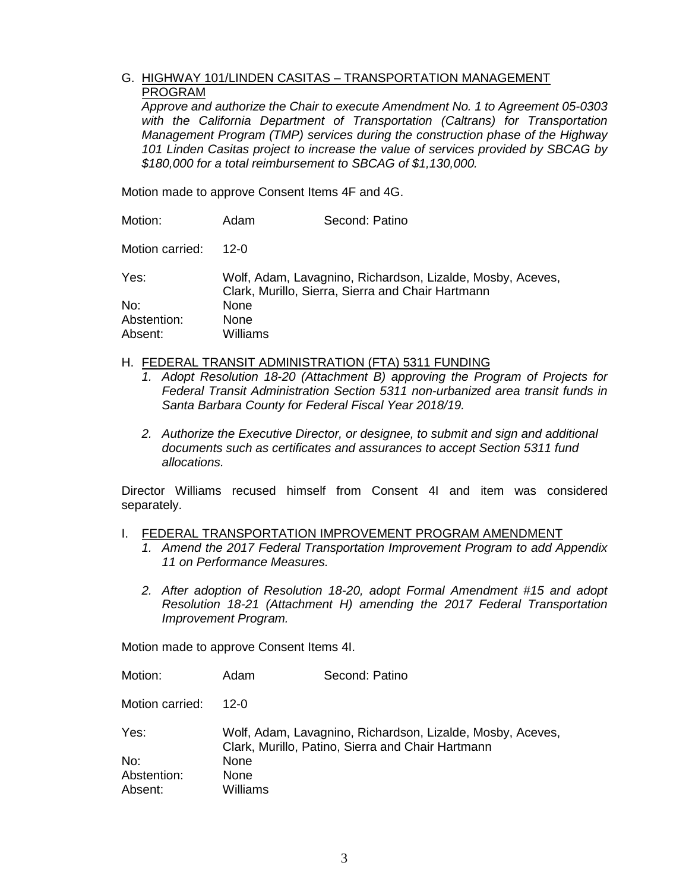# G. HIGHWAY 101/LINDEN CASITAS – TRANSPORTATION MANAGEMENT PROGRAM

*Approve and authorize the Chair to execute Amendment No. 1 to Agreement 05-0303 with the California Department of Transportation (Caltrans) for Transportation Management Program (TMP) services during the construction phase of the Highway 101 Linden Casitas project to increase the value of services provided by SBCAG by \$180,000 for a total reimbursement to SBCAG of \$1,130,000.* 

Motion made to approve Consent Items 4F and 4G.

| Motion:         | Adam                                                                                                            | Second: Patino |  |  |
|-----------------|-----------------------------------------------------------------------------------------------------------------|----------------|--|--|
| Motion carried: | 12-0                                                                                                            |                |  |  |
| Yes:            | Wolf, Adam, Lavagnino, Richardson, Lizalde, Mosby, Aceves,<br>Clark, Murillo, Sierra, Sierra and Chair Hartmann |                |  |  |
| No:             | None                                                                                                            |                |  |  |
| Abstention:     | None                                                                                                            |                |  |  |
| Absent:         | Williams                                                                                                        |                |  |  |

## H. FEDERAL TRANSIT ADMINISTRATION (FTA) 5311 FUNDING

- *1. Adopt Resolution 18-20 (Attachment B) approving the Program of Projects for Federal Transit Administration Section 5311 non-urbanized area transit funds in Santa Barbara County for Federal Fiscal Year 2018/19.*
- *2. Authorize the Executive Director, or designee, to submit and sign and additional documents such as certificates and assurances to accept Section 5311 fund allocations.*

Director Williams recused himself from Consent 4I and item was considered separately.

#### I. FEDERAL TRANSPORTATION IMPROVEMENT PROGRAM AMENDMENT

- *1. Amend the 2017 Federal Transportation Improvement Program to add Appendix 11 on Performance Measures.*
- *2. After adoption of Resolution 18-20, adopt Formal Amendment #15 and adopt Resolution 18-21 (Attachment H) amending the 2017 Federal Transportation Improvement Program.*

Motion made to approve Consent Items 4I.

| Motion:         | Adam                                                                                                            | Second: Patino |  |
|-----------------|-----------------------------------------------------------------------------------------------------------------|----------------|--|
| Motion carried: | 12- $\Omega$                                                                                                    |                |  |
| Yes:            | Wolf, Adam, Lavagnino, Richardson, Lizalde, Mosby, Aceves,<br>Clark, Murillo, Patino, Sierra and Chair Hartmann |                |  |
| No:             | None.                                                                                                           |                |  |
| Abstention:     | None                                                                                                            |                |  |
| Absent:         | Williams                                                                                                        |                |  |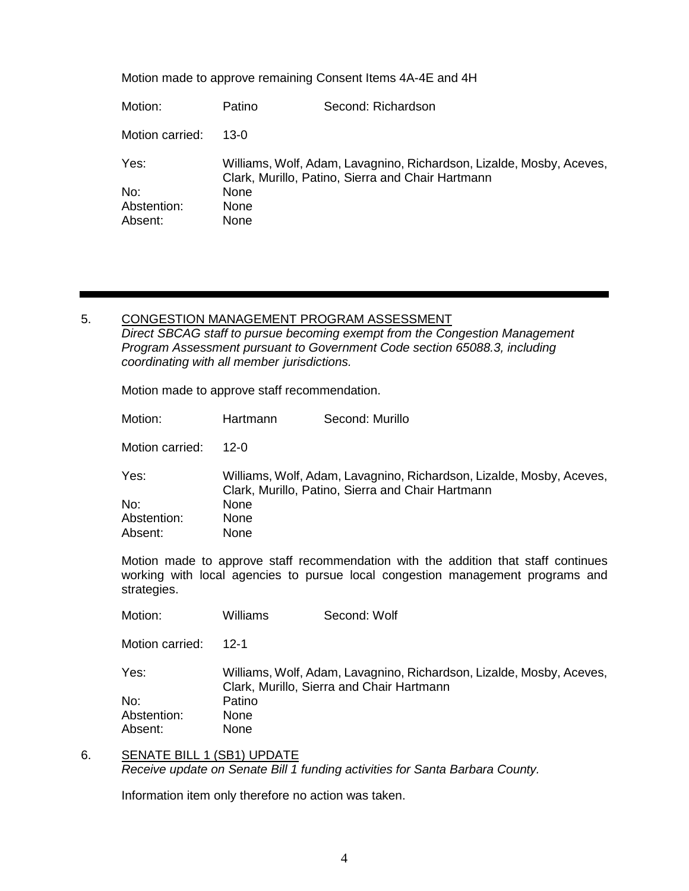Motion made to approve remaining Consent Items 4A-4E and 4H

| Motion:         | Patino                                                                                                                    | Second: Richardson |
|-----------------|---------------------------------------------------------------------------------------------------------------------------|--------------------|
| Motion carried: | 13-0                                                                                                                      |                    |
| Yes:            | Williams, Wolf, Adam, Lavagnino, Richardson, Lizalde, Mosby, Aceves,<br>Clark, Murillo, Patino, Sierra and Chair Hartmann |                    |
| No:             | <b>None</b>                                                                                                               |                    |
| Abstention:     | <b>None</b>                                                                                                               |                    |
| Absent:         | None                                                                                                                      |                    |

5. CONGESTION MANAGEMENT PROGRAM ASSESSMENT *Direct SBCAG staff to pursue becoming exempt from the Congestion Management Program Assessment pursuant to Government Code section 65088.3, including coordinating with all member jurisdictions.*

Motion made to approve staff recommendation.

| Motion:         | Hartmann                                                                                                                  | Second: Murillo |
|-----------------|---------------------------------------------------------------------------------------------------------------------------|-----------------|
| Motion carried: | 12-0                                                                                                                      |                 |
| Yes:            | Williams, Wolf, Adam, Lavagnino, Richardson, Lizalde, Mosby, Aceves,<br>Clark, Murillo, Patino, Sierra and Chair Hartmann |                 |
| No:             | <b>None</b>                                                                                                               |                 |
| Abstention:     | <b>None</b>                                                                                                               |                 |
| Absent:         | <b>None</b>                                                                                                               |                 |
|                 |                                                                                                                           |                 |

Motion made to approve staff recommendation with the addition that staff continues working with local agencies to pursue local congestion management programs and strategies.

Motion: Williams Second: Wolf

Motion carried: 12-1

Yes: Williams, Wolf, Adam, Lavagnino, Richardson, Lizalde, Mosby, Aceves, Clark, Murillo, Sierra and Chair Hartmann No: Patino Abstention: None Absent: None

6. SENATE BILL 1 (SB1) UPDATE *Receive update on Senate Bill 1 funding activities for Santa Barbara County.*

Information item only therefore no action was taken.